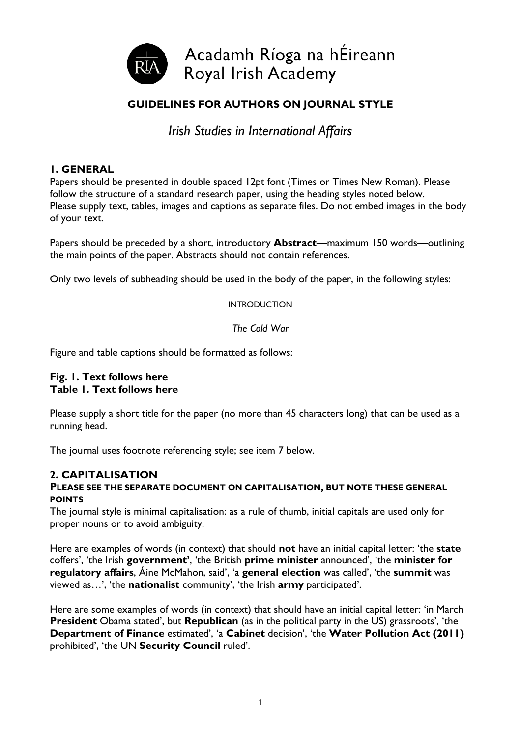

# **GUIDELINES FOR AUTHORS ON JOURNAL STYLE**

*Irish Studies in International Affairs*

## **1. GENERAL**

Papers should be presented in double spaced 12pt font (Times or Times New Roman). Please follow the structure of a standard research paper, using the heading styles noted below. Please supply text, tables, images and captions as separate files. Do not embed images in the body of your text.

Papers should be preceded by a short, introductory **Abstract**—maximum 150 words—outlining the main points of the paper. Abstracts should not contain references.

Only two levels of subheading should be used in the body of the paper, in the following styles:

INTRODUCTION

*The Cold War*

Figure and table captions should be formatted as follows:

#### **Fig. 1. Text follows here Table 1. Text follows here**

Please supply a short title for the paper (no more than 45 characters long) that can be used as a running head.

The journal uses footnote referencing style; see item 7 below.

# **2. CAPITALISATION**

#### **PLEASE SEE THE SEPARATE DOCUMENT ON CAPITALISATION, BUT NOTE THESE GENERAL POINTS**

The journal style is minimal capitalisation: as a rule of thumb, initial capitals are used only for proper nouns or to avoid ambiguity.

Here are examples of words (in context) that should **not** have an initial capital letter: 'the **state** coffers', 'the Irish **government'**, 'the British **prime minister** announced', 'the **minister for regulatory affairs**, Áine McMahon, said', 'a **general election** was called', 'the **summit** was viewed as…', 'the **nationalist** community', 'the Irish **army** participated'.

Here are some examples of words (in context) that should have an initial capital letter: 'in March **President** Obama stated', but **Republican** (as in the political party in the US) grassroots', 'the **Department of Finance** estimated', 'a **Cabinet** decision', 'the **Water Pollution Act (2011)** prohibited', 'the UN **Security Council** ruled'.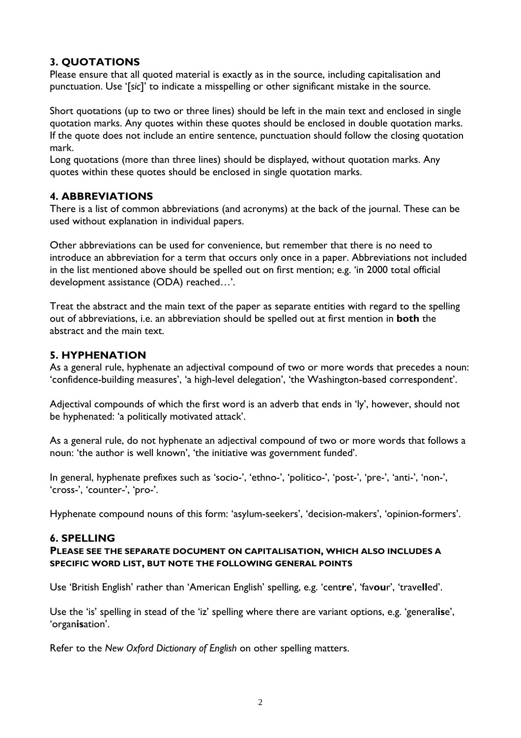# **3. QUOTATIONS**

Please ensure that all quoted material is exactly as in the source, including capitalisation and punctuation. Use '[*sic*]' to indicate a misspelling or other significant mistake in the source.

Short quotations (up to two or three lines) should be left in the main text and enclosed in single quotation marks. Any quotes within these quotes should be enclosed in double quotation marks. If the quote does not include an entire sentence, punctuation should follow the closing quotation mark.

Long quotations (more than three lines) should be displayed, without quotation marks. Any quotes within these quotes should be enclosed in single quotation marks.

## **4. ABBREVIATIONS**

There is a list of common abbreviations (and acronyms) at the back of the journal. These can be used without explanation in individual papers.

Other abbreviations can be used for convenience, but remember that there is no need to introduce an abbreviation for a term that occurs only once in a paper. Abbreviations not included in the list mentioned above should be spelled out on first mention; e.g. 'in 2000 total official development assistance (ODA) reached…'.

Treat the abstract and the main text of the paper as separate entities with regard to the spelling out of abbreviations, i.e. an abbreviation should be spelled out at first mention in **both** the abstract and the main text.

## **5. HYPHENATION**

As a general rule, hyphenate an adjectival compound of two or more words that precedes a noun: 'confidence-building measures', 'a high-level delegation', 'the Washington-based correspondent'.

Adjectival compounds of which the first word is an adverb that ends in 'ly', however, should not be hyphenated: 'a politically motivated attack'.

As a general rule, do not hyphenate an adjectival compound of two or more words that follows a noun: 'the author is well known', 'the initiative was government funded'.

In general, hyphenate prefixes such as 'socio-', 'ethno-', 'politico-', 'post-', 'pre-', 'anti-', 'non-', 'cross-', 'counter-', 'pro-'.

Hyphenate compound nouns of this form: 'asylum-seekers', 'decision-makers', 'opinion-formers'.

## **6. SPELLING**

#### **PLEASE SEE THE SEPARATE DOCUMENT ON CAPITALISATION, WHICH ALSO INCLUDES A SPECIFIC WORD LIST, BUT NOTE THE FOLLOWING GENERAL POINTS**

Use 'British English' rather than 'American English' spelling, e.g. 'cent**re**', 'fav**ou**r', 'trave**ll**ed'.

Use the 'is' spelling in stead of the 'iz' spelling where there are variant options, e.g. 'general**is**e', 'organ**is**ation'.

Refer to the *New Oxford Dictionary of English* on other spelling matters.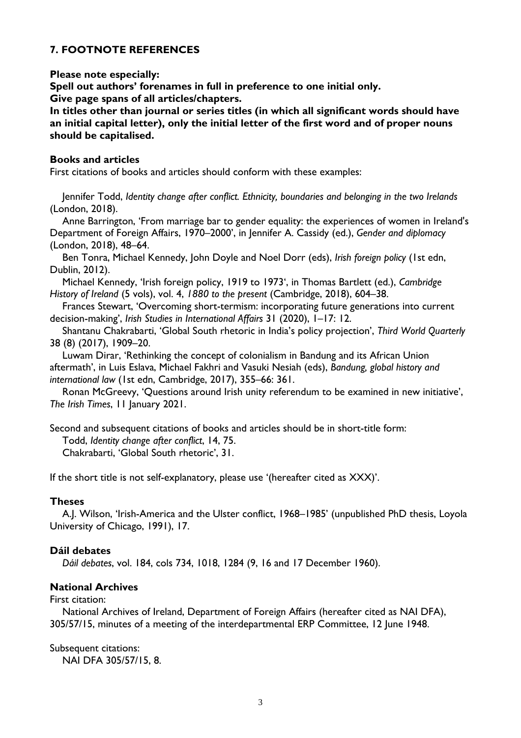# **7. FOOTNOTE REFERENCES**

#### **Please note especially:**

**Spell out authors' forenames in full in preference to one initial only. Give page spans of all articles/chapters.**

**In titles other than journal or series titles (in which all significant words should have an initial capital letter), only the initial letter of the first word and of proper nouns should be capitalised.**

#### **Books and articles**

First citations of books and articles should conform with these examples:

Jennifer Todd, *Identity change after conflict. Ethnicity, boundaries and belonging in the two Irelands* (London, 2018).

Anne Barrington, 'From marriage bar to gender equality: the experiences of women in Ireland's Department of Foreign Affairs, 1970–2000', in Jennifer A. Cassidy (ed.), *Gender and diplomacy* (London, 2018), 48–64.

Ben Tonra, Michael Kennedy, John Doyle and Noel Dorr (eds), *Irish foreign policy* (1st edn, Dublin, 2012).

Michael Kennedy, 'Irish foreign policy, 1919 to 1973', in Thomas Bartlett (ed.), *Cambridge History of Ireland* (5 vols), vol. 4, *1880 to the present* (Cambridge, 2018), 604–38.

Frances Stewart, 'Overcoming short-termism: incorporating future generations into current decision-making', *Irish Studies in International Affairs* 31 (2020), 1–17: 12.

Shantanu Chakrabarti, 'Global South rhetoric in India's policy projection', *Third World Quarterly* 38 (8) (2017), 1909–20.

Luwam Dirar, 'Rethinking the concept of colonialism in Bandung and its African Union aftermath', in Luis Eslava, Michael Fakhri and Vasuki Nesiah (eds), *Bandung, global history and international law* (1st edn, Cambridge, 2017), 355–66: 361.

Ronan McGreevy, 'Questions around Irish unity referendum to be examined in new initiative', *The Irish Times*, 11 January 2021.

Second and subsequent citations of books and articles should be in short-title form:

Todd, *Identity change after conflict*, 14, 75.

Chakrabarti, 'Global South rhetoric', 31.

If the short title is not self-explanatory, please use '(hereafter cited as XXX)'.

## **Theses**

A.J. Wilson, 'Irish-America and the Ulster conflict, 1968–1985' (unpublished PhD thesis, Loyola University of Chicago, 1991), 17.

#### **Dáil debates**

*Dáil debates*, vol. 184, cols 734, 1018, 1284 (9, 16 and 17 December 1960).

## **National Archives**

First citation:

National Archives of Ireland, Department of Foreign Affairs (hereafter cited as NAI DFA), 305/57/15, minutes of a meeting of the interdepartmental ERP Committee, 12 June 1948.

Subsequent citations: NAI DFA 305/57/15, 8.